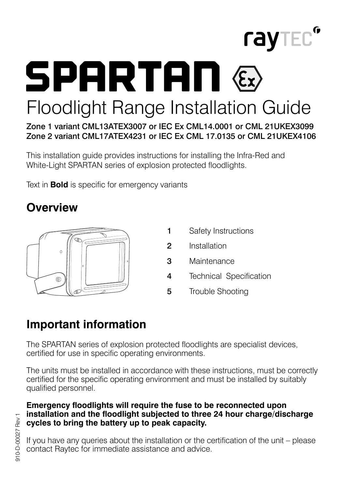

**SPARTAN** Floodlight Range Installation Guide

Zone 1 variant CML13ATEX3007 or IEC Ex CML14.0001 or CML 21UKEX3099 Zone 2 variant CML17ATEX4231 or IEC Ex CML 17.0135 or CML 21UKEX4106

This installation guide provides instructions for installing the Infra-Red and White-Light SPARTAN series of explosion protected floodlights.

Text in **Bold** is specific for emergency variants

## **Overview**



- 1 Safety Instructions
- 2 Installation
- 3 Maintenance
- 4 Technical Specification
- 5 Trouble Shooting

## **Important information**

The SPARTAN series of explosion protected floodlights are specialist devices, certified for use in specific operating environments.

The units must be installed in accordance with these instructions, must be correctly certified for the specific operating environment and must be installed by suitably qualified personnel.

#### **Emergency floodlights will require the fuse to be reconnected upon installation and the floodlight subjected to three 24 hour charge/discharge cycles to bring the battery up to peak capacity.**

If you have any queries about the installation or the certification of the unit – please contact Raytec for immediate assistance and advice.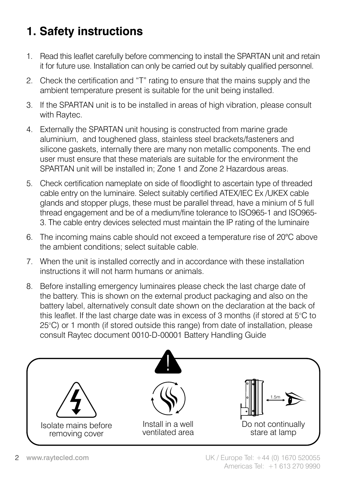# **1. Safety instructions**

- 1. Read this leaflet carefully before commencing to install the SPARTAN unit and retain it for future use. Installation can only be carried out by suitably qualified personnel.
- 2. Check the certification and "T" rating to ensure that the mains supply and the ambient temperature present is suitable for the unit being installed.
- 3. If the SPARTAN unit is to be installed in areas of high vibration, please consult with Raytec.
- 4. Externally the SPARTAN unit housing is constructed from marine grade aluminium, and toughened glass, stainless steel brackets/fasteners and silicone gaskets, internally there are many non metallic components. The end user must ensure that these materials are suitable for the environment the SPARTAN unit will be installed in; Zone 1 and Zone 2 Hazardous areas.
- 5. Check certification nameplate on side of floodlight to ascertain type of threaded cable entry on the luminaire. Select suitably certified ATEX/IEC Ex /UKEX cable glands and stopper plugs, these must be parallel thread, have a minium of 5 full thread engagement and be of a medium/fine tolerance to ISO965-1 and ISO965- 3. The cable entry devices selected must maintain the IP rating of the luminaire
- 6. The incoming mains cable should not exceed a temperature rise of 20°C above the ambient conditions; select suitable cable.
- 7. When the unit is installed correctly and in accordance with these installation instructions it will not harm humans or animals.
- 8. Before installing emergency luminaires please check the last charge date of the battery. This is shown on the external product packaging and also on the battery label, alternatively consult date shown on the declaration at the back of this leaflet. If the last charge date was in excess of 3 months (if stored at 5°C to 25°C) or 1 month (if stored outside this range) from date of installation, please consult Raytec document 0010-D-00001 Battery Handling Guide

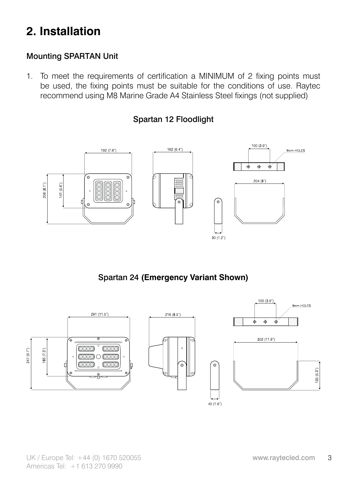## **2. Installation**

## Mounting SPARTAN Unit

1. To meet the requirements of certification a MINIMUM of 2 fixing points must be used, the fixing points must be suitable for the conditions of use. Raytec recommend using M8 Marine Grade A4 Stainless Steel fixings (not supplied)

#### Spartan 12 Floodlight



Spartan 24 **(Emergency Variant Shown)**

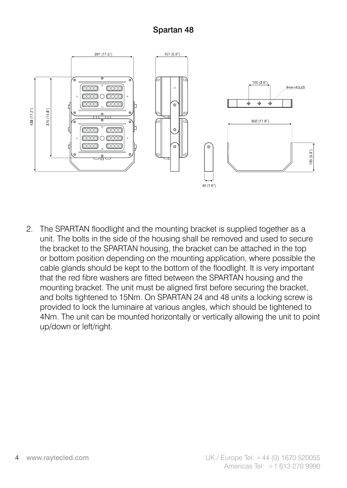## Spartan 48



2. The SPARTAN floodlight and the mounting bracket is supplied together as a unit. The bolts in the side of the housing shall be removed and used to secure the bracket to the SPARTAN housing, the bracket can be attached in the top or bottom position depending on the mounting application, where possible the cable glands should be kept to the bottom of the floodlight. It is very important that the red fibre washers are fitted between the SPARTAN housing and the mounting bracket. The unit must be aligned first before securing the bracket, and bolts tightened to 15Nm. On SPARTAN 24 and 48 units a locking screw is provided to lock the luminaire at various angles, which should be tightened to 4Nm. The unit can be mounted horizontally or vertically allowing the unit to point up/down or left/right.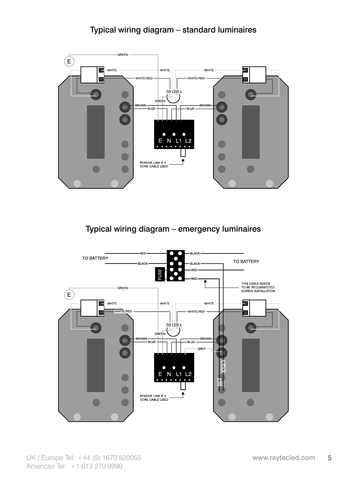## Typical wiring diagram – standard luminaires



Typical wiring diagram – emergency luminaires

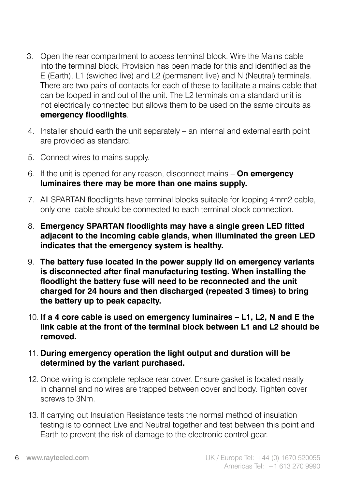- 3. Open the rear compartment to access terminal block. Wire the Mains cable into the terminal block. Provision has been made for this and identified as the E (Earth), L1 (swiched live) and L2 (permanent live) and N (Neutral) terminals. There are two pairs of contacts for each of these to facilitate a mains cable that can be looped in and out of the unit. The L2 terminals on a standard unit is not electrically connected but allows them to be used on the same circuits as **emergency floodlights**.
- 4. Installer should earth the unit separately an internal and external earth point are provided as standard.
- 5. Connect wires to mains supply.
- 6. If the unit is opened for any reason, disconnect mains **On emergency luminaires there may be more than one mains supply.**
- 7. All SPARTAN floodlights have terminal blocks suitable for looping 4mm2 cable, only one cable should be connected to each terminal block connection.
- 8. **Emergency SPARTAN floodlights may have a single green LED fitted adjacent to the incoming cable glands, when illuminated the green LED indicates that the emergency system is healthy.**
- 9. **The battery fuse located in the power supply lid on emergency variants is disconnected after final manufacturing testing. When installing the floodlight the battery fuse will need to be reconnected and the unit charged for 24 hours and then discharged (repeated 3 times) to bring the battery up to peak capacity.**
- 10. **If a 4 core cable is used on emergency luminaires L1, L2, N and E the link cable at the front of the terminal block between L1 and L2 should be removed.**
- 11. **During emergency operation the light output and duration will be determined by the variant purchased.**
- 12. Once wiring is complete replace rear cover. Ensure gasket is located neatly in channel and no wires are trapped between cover and body. Tighten cover screws to 3Nm.
- 13. If carrying out Insulation Resistance tests the normal method of insulation testing is to connect Live and Neutral together and test between this point and Earth to prevent the risk of damage to the electronic control gear.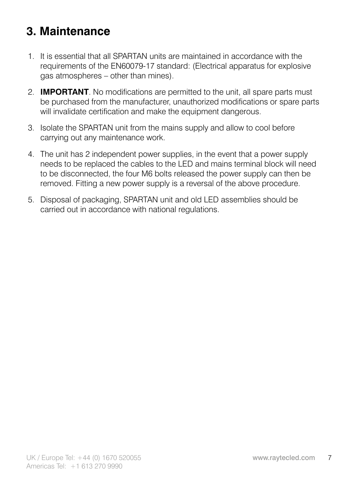# **3. Maintenance**

- 1. It is essential that all SPARTAN units are maintained in accordance with the requirements of the EN60079-17 standard: (Electrical apparatus for explosive gas atmospheres – other than mines).
- 2. **IMPORTANT**. No modifications are permitted to the unit, all spare parts must be purchased from the manufacturer, unauthorized modifications or spare parts will invalidate certification and make the equipment dangerous.
- 3. Isolate the SPARTAN unit from the mains supply and allow to cool before carrying out any maintenance work.
- 4. The unit has 2 independent power supplies, in the event that a power supply needs to be replaced the cables to the LED and mains terminal block will need to be disconnected, the four M6 bolts released the power supply can then be removed. Fitting a new power supply is a reversal of the above procedure.
- 5. Disposal of packaging, SPARTAN unit and old LED assemblies should be carried out in accordance with national regulations.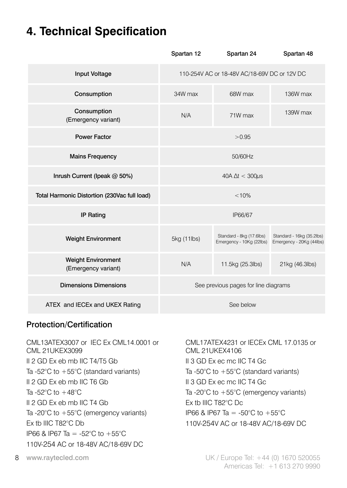## **4. Technical Specification**

|                                                  | Spartan 12                           | Spartan 24                                           | Spartan 48                                            |
|--------------------------------------------------|--------------------------------------|------------------------------------------------------|-------------------------------------------------------|
| <b>Input Voltage</b>                             |                                      | 110-254V AC or 18-48V AC/18-69V DC or 12V DC         |                                                       |
| Consumption                                      | 34W max                              | 68W max                                              | 136W max                                              |
| Consumption<br>(Emergency variant)               | N/A                                  | 71W max                                              | 139W max                                              |
| <b>Power Factor</b>                              |                                      | > 0.95                                               |                                                       |
| <b>Mains Frequency</b>                           |                                      | 50/60Hz                                              |                                                       |
| Inrush Current (Ipeak @ 50%)                     | $40A \Delta t < 300 \mu s$           |                                                      |                                                       |
| Total Harmonic Distortion (230Vac full load)     |                                      | < 10%                                                |                                                       |
| <b>IP Rating</b>                                 |                                      | IP66/67                                              |                                                       |
| <b>Weight Environment</b>                        | 5kg (11lbs)                          | Standard - 8kg (17.6lbs)<br>Emergency - 10Kg (22lbs) | Standard - 16kg (35.2lbs)<br>Emergency - 20Kg (44lbs) |
| <b>Weight Environment</b><br>(Emergency variant) | N/A                                  | 11.5kg (25.3lbs)                                     | 21kg (46.3lbs)                                        |
| <b>Dimensions Dimensions</b>                     | See previous pages for line diagrams |                                                      |                                                       |
| ATEX and IECEx and UKEX Rating                   | See below                            |                                                      |                                                       |

#### Protection/Certification

CML13ATEX3007 or IEC Ex CML14.0001 or CML 21UKEX3099 II 2 GD Ex eb mb IIC T4/T5 Gb Ta -52°C to +55°C (standard variants) II 2 GD Ex eb mb IIC T6 Gb Ta -52 $^{\circ}$ C to  $+48^{\circ}$ C II 2 GD Ex eb mb IIC T4 Gb Ta -20°C to +55°C (emergency variants) Ex tb IIIC T82°C Db IP66 & IP67 Ta = -52°C to +55°C 110V-254 AC or 18-48V AC/18-69V DC

CML17ATEX4231 or IECEx CML 17.0135 or CML 21UKEX4106 II 3 GD Ex ec mc IIC T4 Gc Ta -50°C to +55°C (standard variants) II 3 GD Ex ec mc IIC T4 Gc Ta -20°C to +55°C (emergency variants) Ex tb IIIC T82°C Dc IP66 & IP67 Ta = -50°C to +55°C 110V-254V AC or 18-48V AC/18-69V DC

8 www.raytecled.com UK / Europe Tel: +44 (0) 1670 520055 Americas Tel: +1 613 270 9990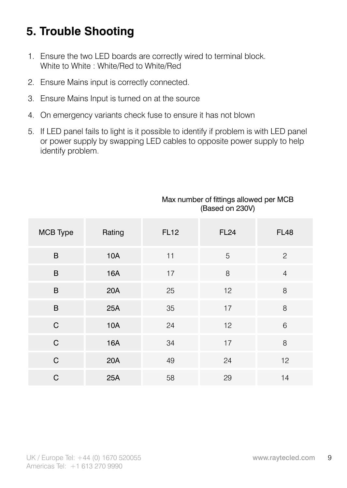# **5. Trouble Shooting**

- 1. Ensure the two LED boards are correctly wired to terminal block. White to White : White/Red to White/Red
- 2. Ensure Mains input is correctly connected.
- 3. Ensure Mains Input is turned on at the source
- 4. On emergency variants check fuse to ensure it has not blown
- 5. If LED panel fails to light is it possible to identify if problem is with LED panel or power supply by swapping LED cables to opposite power supply to help identify problem.

| MCB Type | Rating | <b>FL12</b> | <b>FL24</b> | <b>FL48</b>    |
|----------|--------|-------------|-------------|----------------|
| B        | 10A    | 11          | 5           | $\overline{c}$ |
| B        | 16A    | 17          | 8           | $\overline{4}$ |
| B        | 20A    | 25          | 12          | 8              |
| B        | 25A    | 35          | 17          | 8              |
| C        | 10A    | 24          | 12          | 6              |
| C        | 16A    | 34          | 17          | 8              |
| C        | 20A    | 49          | 24          | 12             |
| C        | 25A    | 58          | 29          | 14             |

#### Max number of fittings allowed per MCB (Based on 230V)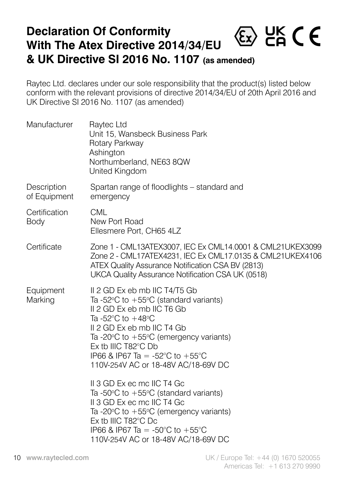## **Declaration Of Conformity**  $\langle \epsilon_{x} \rangle$  HK C E **With The Atex Directive 2014/34/EU & UK Directive SI 2016 No. 1107 (as amended)**

Raytec Ltd. declares under our sole responsibility that the product(s) listed below conform with the relevant provisions of directive 2014/34/EU of 20th April 2016 and UK Directive SI 2016 No. 1107 (as amended)

| Manufacturer                | Raytec Ltd<br>Unit 15, Wansbeck Business Park<br>Rotary Parkway<br>Ashington<br>Northumberland, NE63 8QW<br>United Kingdom                                                                                                                                                                                                                                     |
|-----------------------------|----------------------------------------------------------------------------------------------------------------------------------------------------------------------------------------------------------------------------------------------------------------------------------------------------------------------------------------------------------------|
| Description<br>of Equipment | Spartan range of floodlights - standard and<br>emergency                                                                                                                                                                                                                                                                                                       |
| Certification<br>Body       | CML<br>New Port Road<br>Ellesmere Port, CH65 4LZ                                                                                                                                                                                                                                                                                                               |
| Certificate                 | Zone 1 - CML13ATEX3007, IEC Ex CML14.0001 & CML21UKEX3099<br>Zone 2 - CML17ATEX4231, IEC Ex CML17.0135 & CML21UKEX4106<br>ATEX Quality Assurance Notification CSA BV (2813)<br>UKCA Quality Assurance Notification CSA UK (0518)                                                                                                                               |
| Equipment<br>Marking        | II 2 GD Ex eb mb IIC T4/T5 Gb<br>Ta -52 $\degree$ C to +55 $\degree$ C (standard variants)<br>II 2 GD Ex eb mb IIC T6 Gb<br>Ta -52 $\degree$ C to +48 $\degree$ C<br>II 2 GD Ex eb mb IIC T4 Gb<br>Ta -20 $\degree$ C to +55 $\degree$ C (emergency variants)<br>Ex tb IIIC T82°C Db<br>IP66 & IP67 Ta = -52°C to +55°C<br>110V-254V AC or 18-48V AC/18-69V DC |
|                             | II 3 GD Ex ec mc IIC T4 Gc<br>Ta -50 $\degree$ C to +55 $\degree$ C (standard variants)<br>II 3 GD Ex ec mc IIC T4 Gc<br>Ta-20°C to +55°C (emergency variants)<br>Ex tb IIIC $T82^{\circ}$ C Dc<br>IP66 & IP67 Ta = -50°C to +55°C<br>110V-254V AC or 18-48V AC/18-69V DC                                                                                      |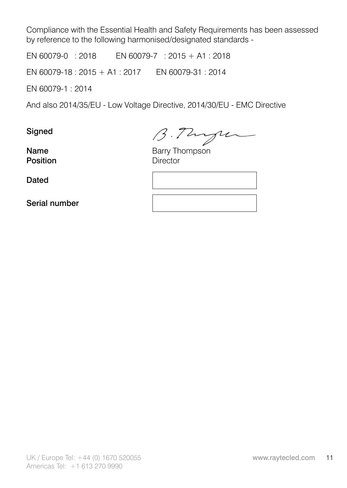Compliance with the Essential Health and Safety Requirements has been assessed by reference to the following harmonised/designated standards -

EN 60079-0 : 2018 EN 60079-7 : 2015 + A1 : 2018

EN 60079-18 : 2015 + A1 : 2017 EN 60079-31 : 2014

EN 60079-1 : 2014

And also 2014/35/EU - Low Voltage Directive, 2014/30/EU - EMC Directive

Signed

Signed  $\beta$ .  $\beta$   $\gamma$ <br>
Name Barry Thompson<br>
Position Director

Position

**Dated** 

Serial number